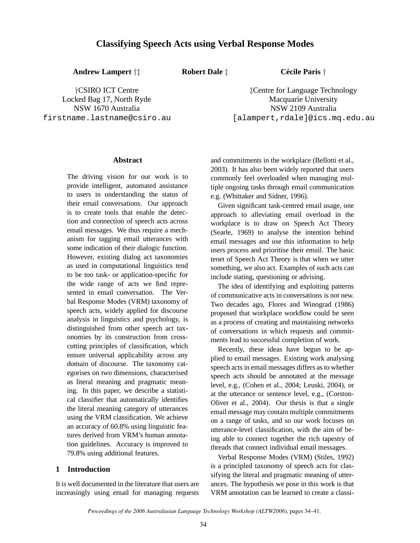# **Classifying Speech Acts using Verbal Response Modes**

**Andrew Lampert** †‡

**Robert Dale**  $\ddagger$  **Cécile Paris**  $\dagger$ 

†CSIRO ICT Centre Locked Bag 17, North Ryde NSW 1670 Australia firstname.lastname@csiro.au

‡Centre for Language Technology Macquarie University NSW 2109 Australia [alampert, rdale]@ics.mq.edu.au

#### **Abstract**

The driving vision for our work is to provide intelligent, automated assistance to users in understanding the status of their email conversations. Our approach is to create tools that enable the detection and connection of speech acts across email messages. We thus require a mechanism for tagging email utterances with some indication of their dialogic function. However, existing dialog act taxonomies as used in computational linguistics tend to be too task- or application-specific for the wide range of acts we find represented in email conversation. The Verbal Response Modes (VRM) taxonomy of speech acts, widely applied for discourse analysis in linguistics and psychology, is distinguished from other speech act taxonomies by its construction from crosscutting principles of classification, which ensure universal applicability across any domain of discourse. The taxonomy categorises on two dimensions, characterised as literal meaning and pragmatic meaning. In this paper, we describe a statistical classifier that automatically identifies the literal meaning category of utterances using the VRM classification. We achieve an accuracy of 60.8% using linguistic features derived from VRM's human annotation guidelines. Accuracy is improved to 79.8% using additional features.

## **1 Introduction**

It is well documented in the literature that users are increasingly using email for managing requests

and commitments in the workplace (Bellotti et al., 2003). It has also been widely reported that users commonly feel overloaded when managing multiple ongoing tasks through email communication e.g. (Whittaker and Sidner, 1996).

Given significant task-centred email usage, one approach to alleviating email overload in the workplace is to draw on Speech Act Theory (Searle, 1969) to analyse the intention behind email messages and use this information to help users process and prioritise their email. The basic tenet of Speech Act Theory is that when we utter something, we also act. Examples of such acts can include stating, questioning or advising.

The idea of identifying and exploiting patterns of communicative acts in conversations is not new. Two decades ago, Flores and Winograd (1986) proposed that workplace workflow could be seen as a process of creating and maintaining networks of conversations in which requests and commitments lead to successful completion of work.

Recently, these ideas have begun to be applied to email messages. Existing work analysing speech acts in email messages differs as to whether speech acts should be annotated at the message level, e.g., (Cohen et al., 2004; Leuski, 2004), or at the utterance or sentence level, e.g., (Corston-Oliver et al., 2004). Our thesis is that a single email message may contain multiple commitments on a range of tasks, and so our work focuses on utterance-level classification, with the aim of being able to connect together the rich tapestry of threads that connect individual email messages.

Verbal Response Modes (VRM) (Stiles, 1992) is a principled taxonomy of speech acts for classifying the literal and pragmatic meaning of utterances. The hypothesis we pose in this work is that VRM annotation can be learned to create a classi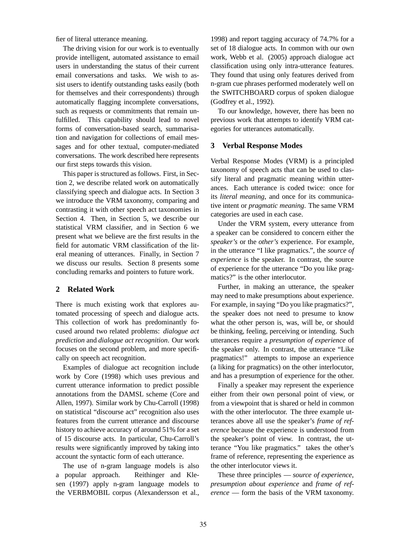fier of literal utterance meaning.

The driving vision for our work is to eventually provide intelligent, automated assistance to email users in understanding the status of their current email conversations and tasks. We wish to assist users to identify outstanding tasks easily (both for themselves and their correspondents) through automatically flagging incomplete conversations, such as requests or commitments that remain unfulfilled. This capability should lead to novel forms of conversation-based search, summarisation and navigation for collections of email messages and for other textual, computer-mediated conversations. The work described here represents our first steps towards this vision.

This paper is structured as follows. First, in Section 2, we describe related work on automatically classifying speech and dialogue acts. In Section 3 we introduce the VRM taxonomy, comparing and contrasting it with other speech act taxonomies in Section 4. Then, in Section 5, we describe our statistical VRM classifier, and in Section 6 we present what we believe are the first results in the field for automatic VRM classification of the literal meaning of utterances. Finally, in Section 7 we discuss our results. Section 8 presents some concluding remarks and pointers to future work.

### **2 Related Work**

There is much existing work that explores automated processing of speech and dialogue acts. This collection of work has predominantly focused around two related problems: *dialogue act prediction* and *dialogue act recognition*. Our work focuses on the second problem, and more specifically on speech act recognition.

Examples of dialogue act recognition include work by Core (1998) which uses previous and current utterance information to predict possible annotations from the DAMSL scheme (Core and Allen, 1997). Similar work by Chu-Carroll (1998) on statistical "discourse act" recognition also uses features from the current utterance and discourse history to achieve accuracy of around 51% for a set of 15 discourse acts. In particular, Chu-Carroll's results were significantly improved by taking into account the syntactic form of each utterance.

The use of n-gram language models is also a popular approach. Reithinger and Klesen (1997) apply n-gram language models to the VERBMOBIL corpus (Alexandersson et al.,

1998) and report tagging accuracy of 74.7% for a set of 18 dialogue acts. In common with our own work, Webb et al. (2005) approach dialogue act classification using only intra-utterance features. They found that using only features derived from n-gram cue phrases performed moderately well on the SWITCHBOARD corpus of spoken dialogue (Godfrey et al., 1992).

To our knowledge, however, there has been no previous work that attempts to identify VRM categories for utterances automatically.

#### **3 Verbal Response Modes**

Verbal Response Modes (VRM) is a principled taxonomy of speech acts that can be used to classify literal and pragmatic meaning within utterances. Each utterance is coded twice: once for its *literal meaning*, and once for its communicative intent or *pragmatic meaning*. The same VRM categories are used in each case.

Under the VRM system, every utterance from a speaker can be considered to concern either the *speaker's* or the *other's* experience. For example, in the utterance "I like pragmatics.", the *source of experience* is the speaker. In contrast, the source of experience for the utterance "Do you like pragmatics?" is the other interlocutor.

Further, in making an utterance, the speaker may need to make presumptions about experience. For example, in saying "Do you like pragmatics?", the speaker does not need to presume to know what the other person is, was, will be, or should be thinking, feeling, perceiving or intending. Such utterances require a *presumption of experience* of the speaker only. In contrast, the utterance "Like pragmatics!" attempts to impose an experience (a liking for pragmatics) on the other interlocutor, and has a presumption of experience for the other.

Finally a speaker may represent the experience either from their own personal point of view, or from a viewpoint that is shared or held in common with the other interlocutor. The three example utterances above all use the speaker's *frame of reference* because the experience is understood from the speaker's point of view. In contrast, the utterance "You like pragmatics." takes the other's frame of reference, representing the experience as the other interlocutor views it.

These three principles — *source of experience*, *presumption about experience* and *frame of reference* — form the basis of the VRM taxonomy.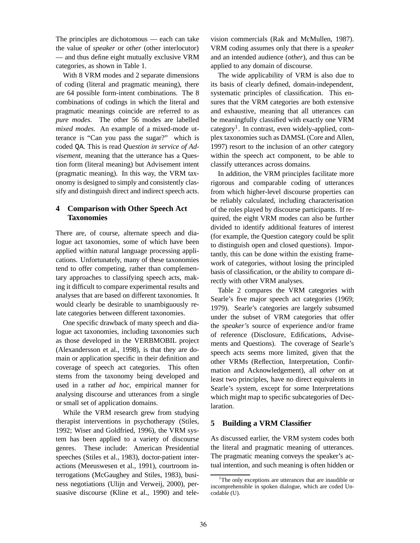The principles are dichotomous — each can take the value of *speaker* or *other* (other interlocutor) — and thus define eight mutually exclusive VRM categories, as shown in Table 1.

With 8 VRM modes and 2 separate dimensions of coding (literal and pragmatic meaning), there are 64 possible form-intent combinations. The 8 combinations of codings in which the literal and pragmatic meanings coincide are referred to as *pure modes*. The other 56 modes are labelled *mixed modes*. An example of a mixed-mode utterance is "Can you pass the sugar?" which is coded QA. This is read *Question in service of Advisement*, meaning that the utterance has a Question form (literal meaning) but Advisement intent (pragmatic meaning). In this way, the VRM taxonomy is designed to simply and consistently classify and distinguish direct and indirect speech acts.

## **4 Comparison with Other Speech Act Taxonomies**

There are, of course, alternate speech and dialogue act taxonomies, some of which have been applied within natural language processing applications. Unfortunately, many of these taxonomies tend to offer competing, rather than complementary approaches to classifying speech acts, making it difficult to compare experimental results and analyses that are based on different taxonomies. It would clearly be desirable to unambiguously relate categories between different taxonomies.

One specific drawback of many speech and dialogue act taxonomies, including taxonomies such as those developed in the VERBMOBIL project (Alexandersson et al., 1998), is that they are domain or application specific in their definition and coverage of speech act categories. This often stems from the taxonomy being developed and used in a rather *ad hoc*, empirical manner for analysing discourse and utterances from a single or small set of application domains.

While the VRM research grew from studying therapist interventions in psychotherapy (Stiles, 1992; Wiser and Goldfried, 1996), the VRM system has been applied to a variety of discourse genres. These include: American Presidential speeches (Stiles et al., 1983), doctor-patient interactions (Meeuswesen et al., 1991), courtroom interrogations (McGaughey and Stiles, 1983), business negotiations (Ulijn and Verweij, 2000), persuasive discourse (Kline et al., 1990) and tele-

vision commercials (Rak and McMullen, 1987). VRM coding assumes only that there is a *speaker* and an intended audience (*other*), and thus can be applied to any domain of discourse.

The wide applicability of VRM is also due to its basis of clearly defined, domain-independent, systematic principles of classification. This ensures that the VRM categories are both extensive and exhaustive, meaning that all utterances can be meaningfully classified with exactly one VRM category<sup>1</sup>. In contrast, even widely-applied, complex taxonomies such as DAMSL (Core and Allen, 1997) resort to the inclusion of an *other* category within the speech act component, to be able to classify utterances across domains.

In addition, the VRM principles facilitate more rigorous and comparable coding of utterances from which higher-level discourse properties can be reliably calculated, including characterisation of the roles played by discourse participants. If required, the eight VRM modes can also be further divided to identify additional features of interest (for example, the Question category could be split to distinguish open and closed questions). Importantly, this can be done within the existing framework of categories, without losing the principled basis of classification, or the ability to compare directly with other VRM analyses.

Table 2 compares the VRM categories with Searle's five major speech act categories (1969; 1979). Searle's categories are largely subsumed under the subset of VRM categories that offer the *speaker's* source of experience and/or frame of reference (Disclosure, Edifications, Advisements and Questions). The coverage of Searle's speech acts seems more limited, given that the other VRMs (Reflection, Interpretation, Confirmation and Acknowledgement), all *other* on at least two principles, have no direct equivalents in Searle's system, except for some Interpretations which might map to specific subcategories of Declaration.

### **5 Building a VRM Classifier**

As discussed earlier, the VRM system codes both the literal and pragmatic meaning of utterances. The pragmatic meaning conveys the speaker's actual intention, and such meaning is often hidden or

<sup>&</sup>lt;sup>1</sup>The only exceptions are utterances that are inaudible or incomprehensible in spoken dialogue, which are coded Uncodable (U).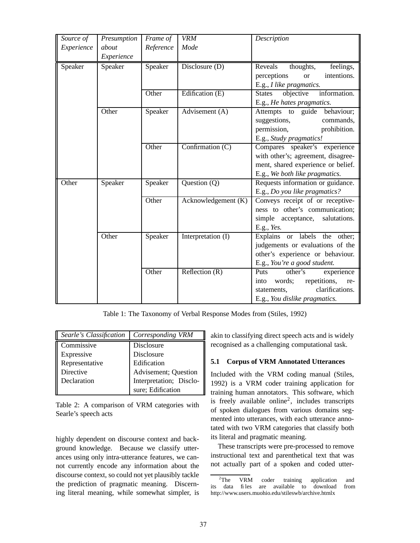| Source of  | Presumption | Frame of  | <b>VRM</b>          | Description                                |
|------------|-------------|-----------|---------------------|--------------------------------------------|
| Experience | about       | Reference | Mode                |                                            |
|            | Experience  |           |                     |                                            |
| Speaker    | Speaker     | Speaker   | Disclosure (D)      | thoughts,<br>Reveals<br>feelings,          |
|            |             |           |                     | perceptions<br>intentions.<br><b>or</b>    |
|            |             |           |                     | E.g., I like pragmatics.                   |
|            |             | Other     | Edification $(E)$   | objective<br>information.<br><b>States</b> |
|            |             |           |                     | E.g., He hates pragmatics.                 |
|            | Other       | Speaker   | Advisement (A)      | Attempts to guide behaviour;               |
|            |             |           |                     | suggestions,<br>commands,                  |
|            |             |           |                     | permission,<br>prohibition.                |
|            |             |           |                     | E.g., Study pragmatics!                    |
|            |             | Other     | Confirmation $(C)$  | Compares speaker's experience              |
|            |             |           |                     | with other's; agreement, disagree-         |
|            |             |           |                     | ment, shared experience or belief.         |
|            |             |           |                     | E.g., We both like pragmatics.             |
| Other      | Speaker     | Speaker   | Question $(Q)$      | Requests information or guidance.          |
|            |             |           |                     | E.g., Do you like pragmatics?              |
|            |             | Other     | Acknowledgement (K) | Conveys receipt of or receptive-           |
|            |             |           |                     | ness to other's communication;             |
|            |             |           |                     | simple acceptance, salutations.            |
|            |             |           |                     | E.g., Yes.                                 |
|            | Other       | Speaker   | Interpretation (I)  | Explains or labels the<br>other;           |
|            |             |           |                     | judgements or evaluations of the           |
|            |             |           |                     | other's experience or behaviour.           |
|            |             |           |                     | E.g., You're a good student.               |
|            |             | Other     | Reflection $(R)$    | Puts<br>other's<br>experience              |
|            |             |           |                     | repetitions,<br>words;<br>into<br>re-      |
|            |             |           |                     | clarifications.<br>statements,             |
|            |             |           |                     | E.g., You dislike pragmatics.              |

Table 1: The Taxonomy of Verbal Response Modes from (Stiles, 1992)

| Searle's Classification | Corresponding VRM       |
|-------------------------|-------------------------|
| Commissive              | Disclosure              |
| Expressive              | Disclosure              |
| Representative          | Edification             |
| Directive               | Advisement; Question    |
| Declaration             | Interpretation; Disclo- |
|                         | sure; Edification       |

Table 2: A comparison of VRM categories with Searle's speech acts

highly dependent on discourse context and background knowledge. Because we classify utterances using only intra-utterance features, we cannot currently encode any information about the discourse context, so could not yet plausibly tackle the prediction of pragmatic meaning. Discerning literal meaning, while somewhat simpler, is akin to classifying direct speech acts and is widely recognised as a challenging computational task.

### **5.1 Corpus of VRM Annotated Utterances**

Included with the VRM coding manual (Stiles, 1992) is a VRM coder training application for training human annotators. This software, which is freely available online<sup>2</sup>, includes transcripts of spoken dialogues from various domains segmented into utterances, with each utterance annotated with two VRM categories that classify both its literal and pragmatic meaning.

These transcripts were pre-processed to remove instructional text and parenthetical text that was not actually part of a spoken and coded utter-

<sup>&</sup>lt;sup>2</sup>The VRM coder training application and its data fi les are available to download from http://www.users.muohio.edu/stileswb/archive.htmlx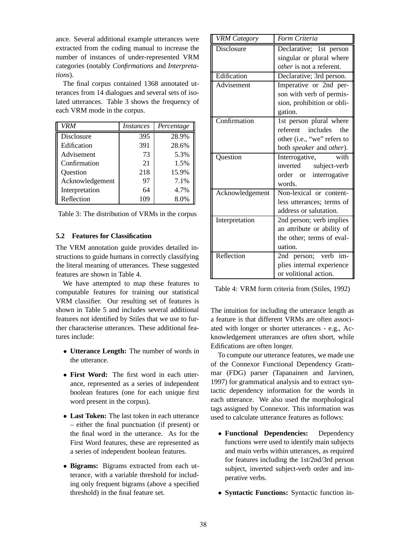ance. Several additional example utterances were extracted from the coding manual to increase the number of instances of under-represented VRM categories (notably *Confirmations* and *Interpretations*).

The final corpus contained 1368 annotated utterances from 14 dialogues and several sets of isolated utterances. Table 3 shows the frequency of each VRM mode in the corpus.

| <b>VRM</b>      | <i>Instances</i> | Percentage |
|-----------------|------------------|------------|
| Disclosure      | 395              | 28.9%      |
| Edification     | 391              | 28.6%      |
| Advisement      | 73               | 5.3%       |
| Confirmation    | 21               | 1.5%       |
| Question        | 218              | 15.9%      |
| Acknowledgement | 97               | 7.1%       |
| Interpretation  | 64               | 4.7%       |
| Reflection      | 109              | 8.0%       |

| Table 3: The distribution of VRMs in the corpus |  |  |  |  |
|-------------------------------------------------|--|--|--|--|
|-------------------------------------------------|--|--|--|--|

#### **5.2 Features for Classification**

The VRM annotation guide provides detailed instructions to guide humans in correctly classifying the literal meaning of utterances. These suggested features are shown in Table 4.

We have attempted to map these features to computable features for training our statistical VRM classifier. Our resulting set of features is shown in Table 5 and includes several additional features not identified by Stiles that we use to further characterise utterances. These additional features include:

- **Utterance Length:** The number of words in the utterance.
- **First Word:** The first word in each utterance, represented as a series of independent boolean features (one for each unique first word present in the corpus).
- **Last Token:** The last token in each utterance – either the final punctuation (if present) or the final word in the utterance. As for the First Word features, these are represented as a series of independent boolean features.
- **Bigrams:** Bigrams extracted from each utterance, with a variable threshold for including only frequent bigrams (above a specified threshold) in the final feature set.

| <b>VRM Category</b> | Form Criteria                   |
|---------------------|---------------------------------|
| <b>Disclosure</b>   | Declarative; 1st person         |
|                     | singular or plural where        |
|                     | <i>other</i> is not a referent. |
| Edification         | Declarative; 3rd person.        |
| <b>Advisement</b>   | Imperative or 2nd per-          |
|                     | son with verb of permis-        |
|                     | sion, prohibition or obli-      |
|                     | gation.                         |
| Confirmation        | 1st person plural where         |
|                     | referent includes<br>the        |
|                     | other (i.e., "we" refers to     |
|                     | both speaker and other).        |
| Question            | with<br>Interrogative,          |
|                     | inverted subject-verb           |
|                     | order or interrogative          |
|                     | words.                          |
| Acknowledgement     | Non-lexical or content-         |
|                     | less utterances; terms of       |
|                     | address or salutation.          |
| Interpretation      | 2nd person; verb implies        |
|                     | an attribute or ability of      |
|                     | the other; terms of eval-       |
|                     | uation.                         |
| Reflection          | 2nd person; verb im-            |
|                     | plies internal experience       |
|                     | or volitional action.           |

Table 4: VRM form criteria from (Stiles, 1992)

The intuition for including the utterance length as a feature is that different VRMs are often associated with longer or shorter utterances - e.g., Acknowledgement utterances are often short, while Edifications are often longer.

To compute our utterance features, we made use of the Connexor Functional Dependency Grammar (FDG) parser (Tapanainen and Jarvinen, 1997) for grammatical analysis and to extract syntactic dependency information for the words in each utterance. We also used the morphological tags assigned by Connexor. This information was used to calculate utterance features as follows:

- **Functional Dependencies:** Dependency functions were used to identify main subjects and main verbs within utterances, as required for features including the 1st/2nd/3rd person subject, inverted subject-verb order and imperative verbs.
- **Syntactic Functions:** Syntactic function in-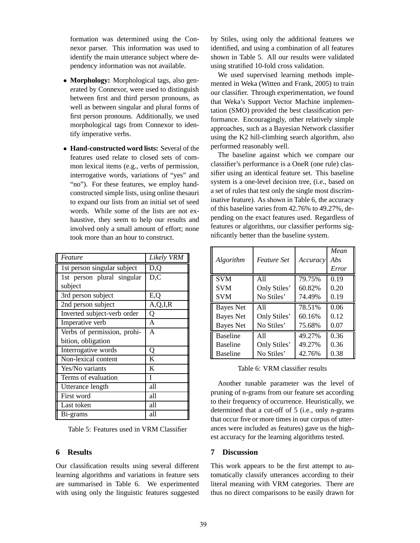formation was determined using the Connexor parser. This information was used to identify the main utterance subject where dependency information was not available.

- **Morphology:** Morphological tags, also generated by Connexor, were used to distinguish between first and third person pronouns, as well as between singular and plural forms of first person pronouns. Additionally, we used morphological tags from Connexor to identify imperative verbs.
- **Hand-constructed word lists:** Several of the features used relate to closed sets of common lexical items (e.g., verbs of permission, interrogative words, variations of "yes" and "no"). For these features, we employ handconstructed simple lists, using online thesauri to expand our lists from an initial set of seed words. While some of the lists are not exhaustive, they seem to help our results and involved only a small amount of effort; none took more than an hour to construct.

| Feature                     | Likely VRM |
|-----------------------------|------------|
| 1st person singular subject | D,Q        |
| 1st person plural singular  | D, C       |
| subject                     |            |
| 3rd person subject          | E,Q        |
| 2nd person subject          | A, Q, I, R |
| Inverted subject-verb order | Q          |
| Imperative verb             | A          |
| Verbs of permission, prohi- | A          |
| bition, obligation          |            |
| Interrogative words         | Q          |
| Non-lexical content         | K          |
| Yes/No variants             | K          |
| Terms of evaluation         | L          |
| Utterance length            | all        |
| First word                  | all        |
| Last token                  | all        |
| Bi-grams                    | all        |

Table 5: Features used in VRM Classifier

# **6 Results**

Our classification results using several different learning algorithms and variations in feature sets are summarised in Table 6. We experimented with using only the linguistic features suggested by Stiles, using only the additional features we identified, and using a combination of all features shown in Table 5. All our results were validated using stratified 10-fold cross validation.

We used supervised learning methods implemented in Weka (Witten and Frank, 2005) to train our classifier. Through experimentation, we found that Weka's Support Vector Machine implementation (SMO) provided the best classification performance. Encouragingly, other relatively simple approaches, such as a Bayesian Network classifier using the K2 hill-climbing search algorithm, also performed reasonably well.

The baseline against which we compare our classifier's performance is a OneR (one rule) classifier using an identical feature set. This baseline system is a one-level decision tree, (i.e., based on a set of rules that test only the single most discriminative feature). As shown in Table 6, the accuracy of this baseline varies from 42.76% to 49.27%, depending on the exact features used. Regardless of features or algorithms, our classifier performs significantly better than the baseline system.

| Algorithm        | <i>Feature Set</i> | Accuracy | Mean<br>Abs<br>Error |
|------------------|--------------------|----------|----------------------|
| <b>SVM</b>       | A11                | 79.75%   | 0.19                 |
| <b>SVM</b>       | Only Stiles'       | 60.82%   | 0.20                 |
| <b>SVM</b>       | No Stiles'         | 74.49%   | 0.19                 |
| <b>Bayes Net</b> | A11                | 78.51%   | 0.06                 |
| <b>Bayes Net</b> | Only Stiles'       | 60.16%   | 0.12                 |
| <b>Bayes</b> Net | No Stiles'         | 75.68%   | 0.07                 |
| <b>Baseline</b>  | A11                | 49.27%   | 0.36                 |
| <b>Baseline</b>  | Only Stiles'       | 49.27%   | 0.36                 |
| <b>Baseline</b>  | No Stiles'         | 42.76%   | 0.38                 |

Table 6: VRM classifier results

Another tunable parameter was the level of pruning of n-grams from our feature set according to their frequency of occurrence. Heuristically, we determined that a cut-off of 5 (i.e., only n-grams that occur five or more times in our corpus of utterances were included as features) gave us the highest accuracy for the learning algorithms tested.

# **7 Discussion**

This work appears to be the first attempt to automatically classify utterances according to their literal meaning with VRM categories. There are thus no direct comparisons to be easily drawn for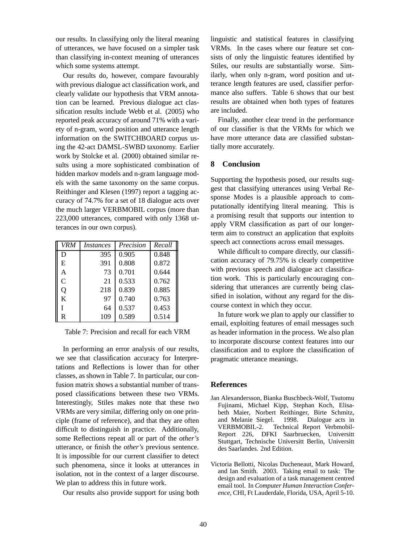our results. In classifying only the literal meaning of utterances, we have focused on a simpler task than classifying in-context meaning of utterances which some systems attempt.

Our results do, however, compare favourably with previous dialogue act classification work, and clearly validate our hypothesis that VRM annotation can be learned. Previous dialogue act classification results include Webb et al. (2005) who reported peak accuracy of around 71% with a variety of n-gram, word position and utterance length information on the SWITCHBOARD corpus using the 42-act DAMSL-SWBD taxonomy. Earlier work by Stolcke et al. (2000) obtained similar results using a more sophisticated combination of hidden markov models and n-gram language models with the same taxonomy on the same corpus. Reithinger and Klesen (1997) report a tagging accuracy of 74.7% for a set of 18 dialogue acts over the much larger VERBMOBIL corpus (more than 223,000 utterances, compared with only 1368 utterances in our own corpus).

| VRM          | <i>Instances</i> | Precision | Recall |
|--------------|------------------|-----------|--------|
| D            | 395              | 0.905     | 0.848  |
| E            | 391              | 0.808     | 0.872  |
| A            | 73               | 0.701     | 0.644  |
| $\mathsf{C}$ | 21               | 0.533     | 0.762  |
| Q            | 218              | 0.839     | 0.885  |
| K            | 97               | 0.740     | 0.763  |
|              | 64               | 0.537     | 0.453  |
| R            | 109              | 0.589     | 0.514  |

Table 7: Precision and recall for each VRM

In performing an error analysis of our results, we see that classification accuracy for Interpretations and Reflections is lower than for other classes, as shown in Table 7. In particular, our confusion matrix shows a substantial number of transposed classifications between these two VRMs. Interestingly, Stiles makes note that these two VRMs are very similar, differing only on one principle (frame of reference), and that they are often difficult to distinguish in practice. Additionally, some Reflections repeat all or part of the *other's* utterance, or finish the *other's* previous sentence. It is impossible for our current classifier to detect such phenomena, since it looks at utterances in isolation, not in the context of a larger discourse. We plan to address this in future work.

Our results also provide support for using both

linguistic and statistical features in classifying VRMs. In the cases where our feature set consists of only the linguistic features identified by Stiles, our results are substantially worse. Similarly, when only n-gram, word position and utterance length features are used, classifier performance also suffers. Table 6 shows that our best results are obtained when both types of features are included.

Finally, another clear trend in the performance of our classifier is that the VRMs for which we have more utterance data are classified substantially more accurately.

### **8 Conclusion**

Supporting the hypothesis posed, our results suggest that classifying utterances using Verbal Response Modes is a plausible approach to computationally identifying literal meaning. This is a promising result that supports our intention to apply VRM classification as part of our longerterm aim to construct an application that exploits speech act connections across email messages.

While difficult to compare directly, our classification accuracy of 79.75% is clearly competitive with previous speech and dialogue act classification work. This is particularly encouraging considering that utterances are currently being classified in isolation, without any regard for the discourse context in which they occur.

In future work we plan to apply our classifier to email, exploiting features of email messages such as header information in the process. We also plan to incorporate discourse context features into our classification and to explore the classification of pragmatic utterance meanings.

### **References**

- Jan Alexandersson, Bianka Buschbeck-Wolf, Tsutomu Fujinami, Michael Kipp, Stephan Koch, Elisabeth Maier, Norbert Reithinger, Birte Schmitz, and Melanie Siegel. 1998. Dialogue acts in VERBMOBIL-2. Technical Report Verbmobil-Report 226, DFKI Saarbruecken, Universitt Stuttgart, Technische Universitt Berlin, Universitt des Saarlandes. 2nd Edition.
- Victoria Bellotti, Nicolas Ducheneaut, Mark Howard, and Ian Smith. 2003. Taking email to task: The design and evaluation of a task management centred email tool. In *Computer Human Interaction Conference*, CHI, Ft Lauderdale, Florida, USA, April 5-10.